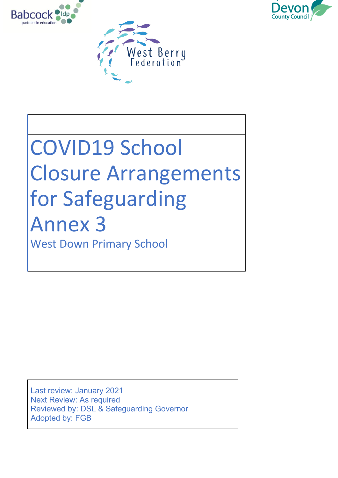



# COVID19 School Closure Arrangements for Safeguarding Annex 3 West Down Primary School

Last review: January 2021 Next Review: As required Reviewed by: DSL & Safeguarding Governor Adopted by: FGB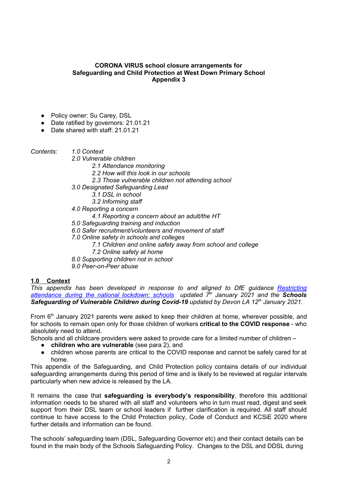#### **CORONA VIRUS school closure arrangements for Safeguarding and Child Protection at West Down Primary School Appendix 3**

- Policy owner: Su Carey, DSL
- Date ratified by governors: 21.01.21
- Date shared with staff: 21.01.21

*Contents: 1.0 Context*

*2.0 Vulnerable children*

- - *2.1 Attendance monitoring*
	- *2.2 How will this look in our schools*
	- *2.3 Those vulnerable children not attending school*
- *3.0 Designated Safeguarding Lead*
	- *3.1 DSL in school*
	- *3.2 Informing staff*
- *4.0 Reporting a concern*
	- *4.1 Reporting a concern about an adult/the HT*
- *5.0 Safeguarding training and induction*
- *6.0 Safer recruitment/volunteers and movement of staff*
- *7.0 Online safety in schools and colleges*
	- *7.1 Children and online safety away from school and college*
	- *7.2 Online safety at home*
- *8.0 Supporting children not in school*
- *9.0 Peer-on-Peer abuse*

## **1.0 Context**

*This appendix has been developed in response to and aligned to DfE guidance [Restricting](https://www.gov.uk/government/publications/actions-for-schools-during-the-coronavirus-outbreak) [attendance](https://www.gov.uk/government/publications/actions-for-schools-during-the-coronavirus-outbreak) during the national lockdown: schools updated 7 th January 2021 and the Schools Safeguarding of Vulnerable Children during Covid-19 updated by Devon LA 12 th January 2021.*

From 6<sup>th</sup> January 2021 parents were asked to keep their children at home, wherever possible, and for schools to remain open only for those children of workers **critical to the COVID response** - who absolutely need to attend.

Schools and all childcare providers were asked to provide care for a limited number of children –

- **children who are vulnerable** (see para 2), and
- children whose parents are critical to the COVID response and cannot be safely cared for at home.

This appendix of the Safeguarding, and Child Protection policy contains details of our individual safeguarding arrangements during this period of time and is likely to be reviewed at regular intervals particularly when new advice is released by the LA.

It remains the case that **safeguarding is everybody's responsibility**, therefore this additional information needs to be shared with all staff and volunteers who in turn must read, digest and seek support from their DSL team or school leaders if further clarification is required. All staff should continue to have access to the Child Protection policy, Code of Conduct and KCSiE 2020 where further details and information can be found.

The schools' safeguarding team (DSL, Safeguarding Governor etc) and their contact details can be found in the main body of the Schools Safeguarding Policy. Changes to the DSL and DDSL during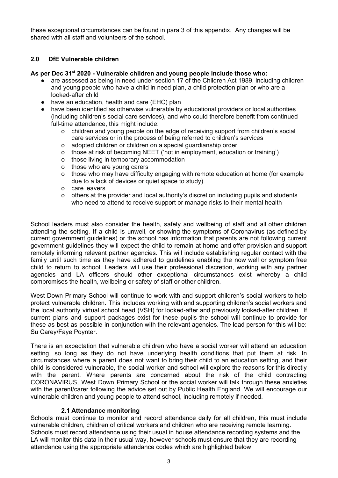these exceptional circumstances can be found in para 3 of this appendix. Any changes will be shared with all staff and volunteers of the school.

## **2.0 DfE Vulnerable children**

#### **As per Dec 31 st 2020 - Vulnerable children and young people include those who:**

- are assessed as being in need under section 17 of the Children Act 1989, including children and young people who have a child in need plan, a child protection plan or who are a looked-after child
- have an education, health and care (EHC) plan
- have been identified as otherwise vulnerable by educational providers or local authorities (including children's social care services), and who could therefore benefit from continued full-time attendance, this might include:
	- o children and young people on the edge of receiving support from children's social care services or in the process of being referred to children's services
	- o adopted children or children on a special guardianship order
	- o those at risk of becoming NEET ('not in employment, education or training')
	- o those living in temporary accommodation
	- o those who are young carers
	- o those who may have difficulty engaging with remote education at home (for example due to a lack of devices or quiet space to study)
	- o care leavers
	- o others at the provider and local authority's discretion including pupils and students who need to attend to receive support or manage risks to their mental health

School leaders must also consider the health, safety and wellbeing of staff and all other children attending the setting. If a child is unwell, or showing the symptoms of Coronavirus (as defined by current government guidelines) or the school has information that parents are not following current government guidelines they will expect the child to remain at home and offer provision and support remotely informing relevant partner agencies. This will include establishing regular contact with the family until such time as they have adhered to guidelines enabling the now well or symptom free child to return to school. Leaders will use their professional discretion, working with any partner agencies and LA officers should other exceptional circumstances exist whereby a child compromises the health, wellbeing or safety of staff or other children.

West Down Primary School will continue to work with and support children's social workers to help protect vulnerable children. This includes working with and supporting children's social workers and the local authority virtual school head (VSH) for looked-after and previously looked-after children. If current plans and support packages exist for these pupils the school will continue to provide for these as best as possible in conjunction with the relevant agencies. The lead person for this will be: Su Carey/Faye Poynter.

There is an expectation that vulnerable children who have a social worker will attend an education setting, so long as they do not have underlying health conditions that put them at risk. In circumstances where a parent does not want to bring their child to an education setting, and their child is considered vulnerable, the social worker and school will explore the reasons for this directly with the parent. Where parents are concerned about the risk of the child contracting CORONAVIRUS, West Down Primary School or the social worker will talk through these anxieties with the parent/carer following the advice set out by Public Health England. We will encourage our vulnerable children and young people to attend school, including remotely if needed.

## **2.1 Attendance monitoring**

Schools must continue to monitor and record attendance daily for all children, this must include vulnerable children, children of critical workers and children who are receiving remote learning. Schools must record attendance using their usual in house attendance recording systems and the LA will monitor this data in their usual way, however schools must ensure that they are recording attendance using the appropriate attendance codes which are highlighted below.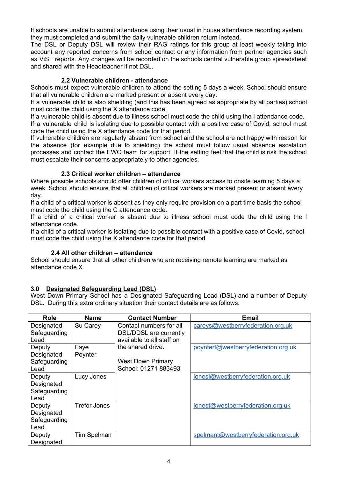If schools are unable to submit attendance using their usual in house attendance recording system, they must completed and submit the daily vulnerable children return instead.

The DSL or Deputy DSL will review their RAG ratings for this group at least weekly taking into account any reported concerns from school contact or any information from partner agencies such as ViST reports. Any changes will be recorded on the schools central vulnerable group spreadsheet and shared with the Headteacher if not DSL.

# **2.2 Vulnerable children - attendance**

Schools must expect vulnerable children to attend the setting 5 days a week. School should ensure that all vulnerable children are marked present or absent every day.

If a vulnerable child is also shielding (and this has been agreed as appropriate by all parties) school must code the child using the X attendance code.

If a vulnerable child is absent due to illness school must code the child using the I attendance code. If a vulnerable child is isolating due to possible contact with a positive case of Covid, school must code the child using the X attendance code for that period.

If vulnerable children are regularly absent from school and the school are not happy with reason for the absence (for example due to shielding) the school must follow usual absence escalation processes and contact the EWO team for support. If the setting feel that the child is risk the school must escalate their concerns appropriately to other agencies.

# **2.3 Critical worker children – attendance**

Where possible schools should offer children of critical workers access to onsite learning 5 days a week. School should ensure that all children of critical workers are marked present or absent every day.

If a child of a critical worker is absent as they only require provision on a part time basis the school must code the child using the C attendance code.

If a child of a critical worker is absent due to illness school must code the child using the I attendance code.

If a child of a critical worker is isolating due to possible contact with a positive case of Covid, school must code the child using the X attendance code for that period.

## **2.4 All other children – attendance**

School should ensure that all other children who are receiving remote learning are marked as attendance code X.

# **3.0 Designated Safeguarding Lead (DSL)**

West Down Primary School has a Designated Safeguarding Lead (DSL) and a number of Deputy DSL. During this extra ordinary situation their contact details are as follows:

| Role         | Name         | <b>Contact Number</b>     | <b>Email</b>                        |
|--------------|--------------|---------------------------|-------------------------------------|
| Designated   | Su Carey     | Contact numbers for all   | careys@westberryfederation.org.uk   |
| Safeguarding |              | DSL/DDSL are currently    |                                     |
| Lead         |              | available to all staff on |                                     |
| Deputy       | Faye         | the shared drive.         | poynterf@westberryfederation.org.uk |
| Designated   | Poynter      |                           |                                     |
| Safeguarding |              | <b>West Down Primary</b>  |                                     |
| Lead         |              | School: 01271 883493      |                                     |
| Deputy       | Lucy Jones   |                           | jonesl@westberryfederation.org.uk   |
| Designated   |              |                           |                                     |
| Safeguarding |              |                           |                                     |
| Lead         |              |                           |                                     |
| Deputy       | Trefor Jones |                           | jonest@westberryfederation.org.uk   |
| Designated   |              |                           |                                     |
| Safeguarding |              |                           |                                     |
| Lead         |              |                           |                                     |
| Deputy       | Tim Spelman  |                           | spelmant@westberryfederation.org.uk |
| Designated   |              |                           |                                     |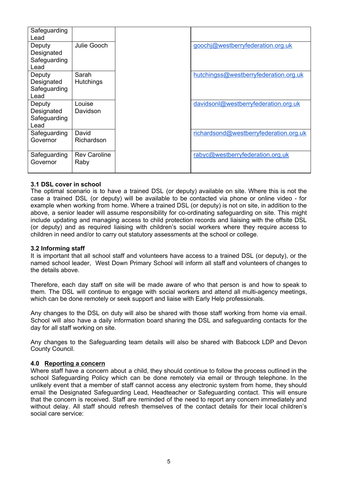| Safeguarding<br>Lead                         |                             |                                        |
|----------------------------------------------|-----------------------------|----------------------------------------|
| Deputy<br>Designated<br>Safeguarding<br>Lead | Julie Gooch                 | goochj@westberryfederation.org.uk      |
| Deputy<br>Designated<br>Safeguarding<br>Lead | Sarah<br><b>Hutchings</b>   | hutchingss@westberryfederation.org.uk  |
| Deputy<br>Designated<br>Safeguarding<br>Lead | Louise<br>Davidson          | davidsonl@westberryfederation.org.uk   |
| Safeguarding<br>Governor                     | David<br>Richardson         | richardsond@westberryfederation.org.uk |
| Safeguarding<br>Governor                     | <b>Rev Caroline</b><br>Raby | rabyc@westberryfederation.org.uk       |

#### **3.1 DSL cover in school**

The optimal scenario is to have a trained DSL (or deputy) available on site. Where this is not the case a trained DSL (or deputy) will be available to be contacted via phone or online video - for example when working from home. Where a trained DSL (or deputy) is not on site, in addition to the above, a senior leader will assume responsibility for co-ordinating safeguarding on site. This might include updating and managing access to child protection records and liaising with the offsite DSL (or deputy) and as required liaising with children's social workers where they require access to children in need and/or to carry out statutory assessments at the school or college.

#### **3.2 Informing staff**

It is important that all school staff and volunteers have access to a trained DSL (or deputy), or the named school leader, West Down Primary School will inform all staff and volunteers of changes to the details above.

Therefore, each day staff on site will be made aware of who that person is and how to speak to them. The DSL will continue to engage with social workers and attend all multi-agency meetings, which can be done remotely or seek support and liaise with Early Help professionals.

Any changes to the DSL on duty will also be shared with those staff working from home via email. School will also have a daily information board sharing the DSL and safeguarding contacts for the day for all staff working on site.

Any changes to the Safeguarding team details will also be shared with Babcock LDP and Devon County Council.

#### **4.0 Reporting a concern**

Where staff have a concern about a child, they should continue to follow the process outlined in the school Safeguarding Policy which can be done remotely via email or through telephone. In the unlikely event that a member of staff cannot access any electronic system from home, they should email the Designated Safeguarding Lead, Headteacher or Safeguarding contact. This will ensure that the concern is received. Staff are reminded of the need to report any concern immediately and without delay. All staff should refresh themselves of the contact details for their local children's social care service: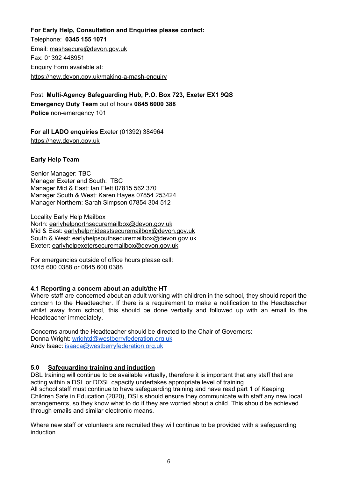**For Early Help, Consultation and Enquiries please contact:** Telephone: **0345 155 1071** Email: [mashsecure@devon.gov.uk](mailto:mashsecure@devon.gov.uk) Fax: 01392 448951 Enquiry Form available at: [https://new.devon.gov.uk/making-a-mash-enquiry](https://new.devon.gov.uk/educationandfamilies/child-protection/making-a-mash-enquiry)

Post: **Multi-Agency Safeguarding Hub, P.O. Box 723, Exeter EX1 9QS Emergency Duty Team** out of hours **0845 6000 388 Police** non-emergency 101

**For all LADO enquiries** Exeter (01392) 384964 [https://new.devon.gov.uk](https://new.devon.gov.uk/educationandfamilies/child-protection/managing-allegations-against-adults-working-with-children)

# **Early Help Team**

Senior Manager: TBC Manager Exeter and South: TBC Manager Mid & East: Ian Flett 07815 562 370 Manager South & West: Karen Hayes 07854 253424 Manager Northern: Sarah Simpson 07854 304 512

Locality Early Help Mailbox North: [earlyhelpnorthsecuremailbox@devon.gov.uk](mailto:earlyhelpnorthsecuremailbox@devon.gov.uk) Mid & East: [earlyhelpmideastsecuremailbox@devon.gov.uk](mailto:earlyhelpmideastsecuremailbox@devon.gov.uk) South & West: [earlyhelpsouthsecuremailbox@devon.gov.uk](mailto:earlyhelpsouthsecuremailbox@devon.gov.uk) Exeter: [earlyhelpexetersecuremailbox@devon.gov.uk](mailto:earlyhelpexetersecuremailbox@devon.gov.uk)

For emergencies outside of office hours please call: 0345 600 0388 or 0845 600 0388

## **4.1 Reporting a concern about an adult/the HT**

Where staff are concerned about an adult working with children in the school, they should report the concern to the Headteacher. If there is a requirement to make a notification to the Headteacher whilst away from school, this should be done verbally and followed up with an email to the Headteacher immediately.

Concerns around the Headteacher should be directed to the Chair of Governors: Donna Wright: [wrightd@westberryfederation.org.uk](mailto:wrightd@westberryfederation.org.uk) Andy Isaac: [isaaca@westberryfederation.org.uk](mailto:isaaca@westberryfederation.org.uk)

# **5.0 Safeguarding training and induction**

DSL training will continue to be available virtually, therefore it is important that any staff that are acting within a DSL or DDSL capacity undertakes appropriate level of training. All school staff must continue to have safeguarding training and have read part 1 of Keeping Children Safe in Education (2020), DSLs should ensure they communicate with staff any new local arrangements, so they know what to do if they are worried about a child. This should be achieved through emails and similar electronic means.

Where new staff or volunteers are recruited they will continue to be provided with a safeguarding induction.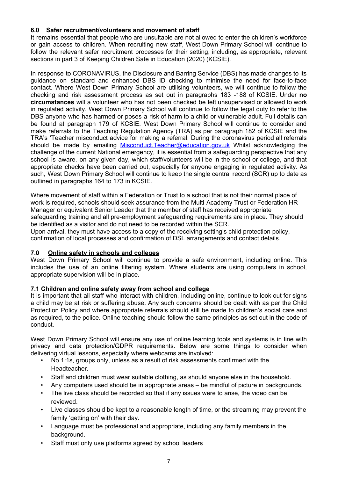# **6.0 Safer recruitment/volunteers and movement of staff**

It remains essential that people who are unsuitable are not allowed to enter the children's workforce or gain access to children. When recruiting new staff, West Down Primary School will continue to follow the relevant safer recruitment processes for their setting, including, as appropriate, relevant sections in part 3 of Keeping Children Safe in Education (2020) (KCSIE).

In response to CORONAVIRUS, the Disclosure and Barring Service (DBS) has made changes to its guidance on standard and enhanced DBS ID checking to minimise the need for face-to-face contact. Where West Down Primary School are utilising volunteers, we will continue to follow the checking and risk assessment process as set out in paragraphs 183 -188 of KCSIE. Under **no circumstances** will a volunteer who has not been checked be left unsupervised or allowed to work in regulated activity. West Down Primary School will continue to follow the legal duty to refer to the DBS anyone who has harmed or poses a risk of harm to a child or vulnerable adult. Full details can be found at paragraph 179 of KCSIE. West Down Primary School will continue to consider and make referrals to the Teaching Regulation Agency (TRA) as per paragraph 182 of KCSIE and the TRA's 'Teacher misconduct advice for making a referral. During the coronavirus period all referrals should be made by emailing [Misconduct.Teacher@education.gov.uk](mailto:Misconduct.Teacher@education.gov.uk) Whilst acknowledging the challenge of the current National emergency, it is essential from a safeguarding perspective that any school is aware, on any given day, which staff/volunteers will be in the school or college, and that appropriate checks have been carried out, especially for anyone engaging in regulated activity. As such, West Down Primary School will continue to keep the single central record (SCR) up to date as outlined in paragraphs 164 to 173 in KCSIE.

Where movement of staff within a Federation or Trust to a school that is not their normal place of work is required, schools should seek assurance from the Multi-Academy Trust or Federation HR Manager or equivalent Senior Leader that the member of staff has received appropriate safeguarding training and all pre-employment safeguarding requirements are in place. They should be identified as a visitor and do not need to be recorded within the SCR.

Upon arrival, they must have access to a copy of the receiving setting's child protection policy, confirmation of local processes and confirmation of DSL arrangements and contact details.

## **7.0 Online safety in schools and colleges**

West Down Primary School will continue to provide a safe environment, including online. This includes the use of an online filtering system. Where students are using computers in school, appropriate supervision will be in place.

## **7.1 Children and online safety away from school and college**

It is important that all staff who interact with children, including online, continue to look out for signs a child may be at risk or suffering abuse. Any such concerns should be dealt with as per the Child Protection Policy and where appropriate referrals should still be made to children's social care and as required, to the police. Online teaching should follow the same principles as set out in the code of conduct.

West Down Primary School will ensure any use of online learning tools and systems is in line with privacy and data protection/GDPR requirements. Below are some things to consider when delivering virtual lessons, especially where webcams are involved:

- No 1:1s, groups only, unless as a result of risk assessments confirmed with the Headteacher.
- Staff and children must wear suitable clothing, as should anyone else in the household.
- Any computers used should be in appropriate areas be mindful of picture in backgrounds.
- The live class should be recorded so that if any issues were to arise, the video can be reviewed.
- Live classes should be kept to a reasonable length of time, or the streaming may prevent the family 'getting on' with their day.
- Language must be professional and appropriate, including any family members in the background.
- Staff must only use platforms agreed by school leaders